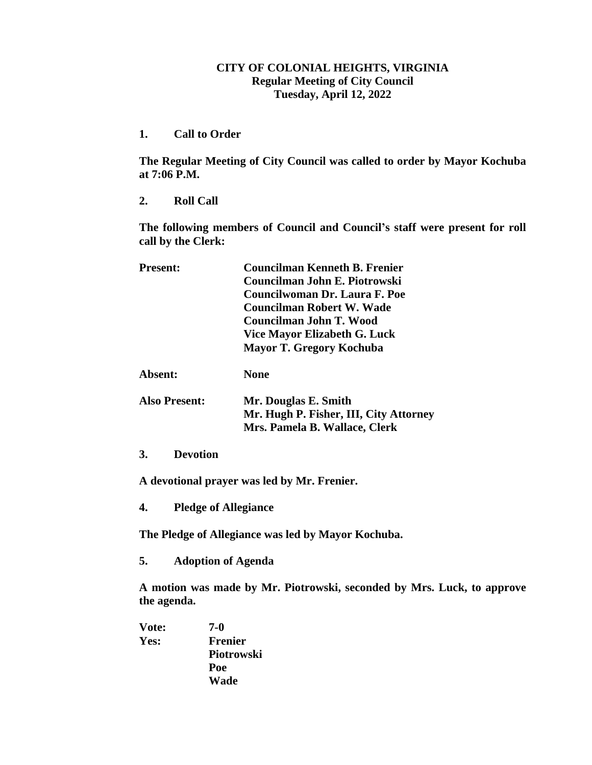## **CITY OF COLONIAL HEIGHTS, VIRGINIA Regular Meeting of City Council Tuesday, April 12, 2022**

**1. Call to Order**

**The Regular Meeting of City Council was called to order by Mayor Kochuba at 7:06 P.M.**

**2. Roll Call**

**The following members of Council and Council's staff were present for roll call by the Clerk:**

| <b>Present:</b>      | <b>Councilman Kenneth B. Frenier</b>   |
|----------------------|----------------------------------------|
|                      | Councilman John E. Piotrowski          |
|                      | Councilwoman Dr. Laura F. Poe          |
|                      | Councilman Robert W. Wade              |
|                      | Councilman John T. Wood                |
|                      | Vice Mayor Elizabeth G. Luck           |
|                      | <b>Mayor T. Gregory Kochuba</b>        |
| Absent:              | <b>None</b>                            |
| <b>Also Present:</b> | Mr. Douglas E. Smith                   |
|                      | Mr. Hugh P. Fisher, III, City Attorney |
|                      | Mrs. Pamela B. Wallace, Clerk          |
| 3.<br>Devotion       |                                        |

**A devotional prayer was led by Mr. Frenier.**

**4. Pledge of Allegiance**

**The Pledge of Allegiance was led by Mayor Kochuba.**

**5. Adoption of Agenda**

**A motion was made by Mr. Piotrowski, seconded by Mrs. Luck, to approve the agenda.**

**Vote: 7-0 Yes: Frenier Piotrowski Poe Wade**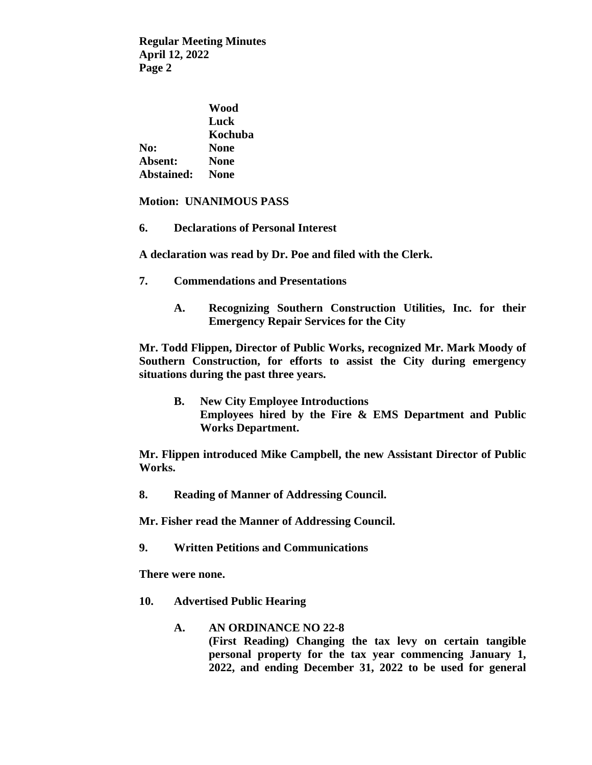|                   | Wood        |
|-------------------|-------------|
|                   | Luck        |
|                   | Kochuba     |
| No:               | <b>None</b> |
| Absent:           | <b>None</b> |
| <b>Abstained:</b> | <b>None</b> |

## **Motion: UNANIMOUS PASS**

**6. Declarations of Personal Interest**

**A declaration was read by Dr. Poe and filed with the Clerk.**

- **7. Commendations and Presentations**
	- **A. Recognizing Southern Construction Utilities, Inc. for their Emergency Repair Services for the City**

**Mr. Todd Flippen, Director of Public Works, recognized Mr. Mark Moody of Southern Construction, for efforts to assist the City during emergency situations during the past three years.**

**B. New City Employee Introductions Employees hired by the Fire & EMS Department and Public Works Department.**

**Mr. Flippen introduced Mike Campbell, the new Assistant Director of Public Works.**

**8. Reading of Manner of Addressing Council.**

**Mr. Fisher read the Manner of Addressing Council.**

**9. Written Petitions and Communications**

**There were none.**

- **10. Advertised Public Hearing**
	- **A. AN ORDINANCE NO 22-8 (First Reading) Changing the tax levy on certain tangible personal property for the tax year commencing January 1, 2022, and ending December 31, 2022 to be used for general**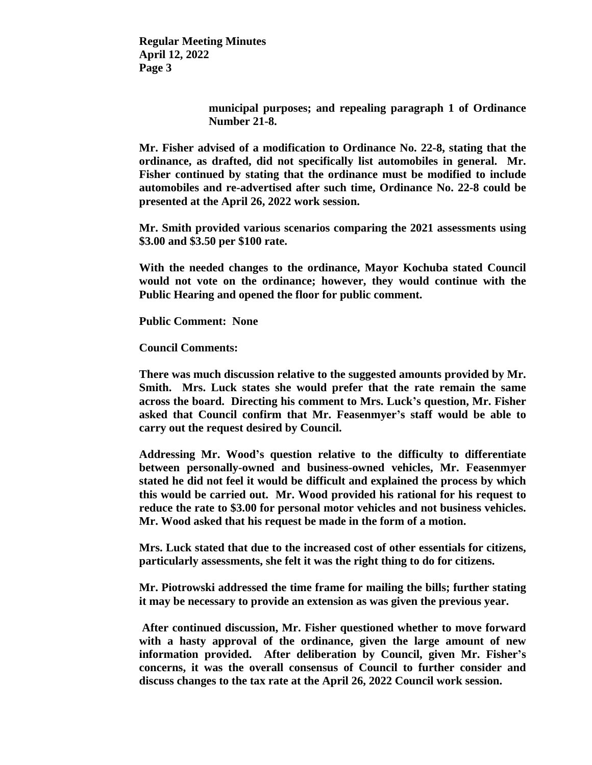> **municipal purposes; and repealing paragraph 1 of Ordinance Number 21-8.**

**Mr. Fisher advised of a modification to Ordinance No. 22-8, stating that the ordinance, as drafted, did not specifically list automobiles in general. Mr. Fisher continued by stating that the ordinance must be modified to include automobiles and re-advertised after such time, Ordinance No. 22-8 could be presented at the April 26, 2022 work session.**

**Mr. Smith provided various scenarios comparing the 2021 assessments using \$3.00 and \$3.50 per \$100 rate.** 

**With the needed changes to the ordinance, Mayor Kochuba stated Council would not vote on the ordinance; however, they would continue with the Public Hearing and opened the floor for public comment.**

**Public Comment: None**

**Council Comments:**

**There was much discussion relative to the suggested amounts provided by Mr. Smith. Mrs. Luck states she would prefer that the rate remain the same across the board. Directing his comment to Mrs. Luck's question, Mr. Fisher asked that Council confirm that Mr. Feasenmyer's staff would be able to carry out the request desired by Council.**

**Addressing Mr. Wood's question relative to the difficulty to differentiate between personally-owned and business-owned vehicles, Mr. Feasenmyer stated he did not feel it would be difficult and explained the process by which this would be carried out. Mr. Wood provided his rational for his request to reduce the rate to \$3.00 for personal motor vehicles and not business vehicles. Mr. Wood asked that his request be made in the form of a motion.**

**Mrs. Luck stated that due to the increased cost of other essentials for citizens, particularly assessments, she felt it was the right thing to do for citizens.**

**Mr. Piotrowski addressed the time frame for mailing the bills; further stating it may be necessary to provide an extension as was given the previous year.**

**After continued discussion, Mr. Fisher questioned whether to move forward with a hasty approval of the ordinance, given the large amount of new information provided. After deliberation by Council, given Mr. Fisher's concerns, it was the overall consensus of Council to further consider and discuss changes to the tax rate at the April 26, 2022 Council work session.**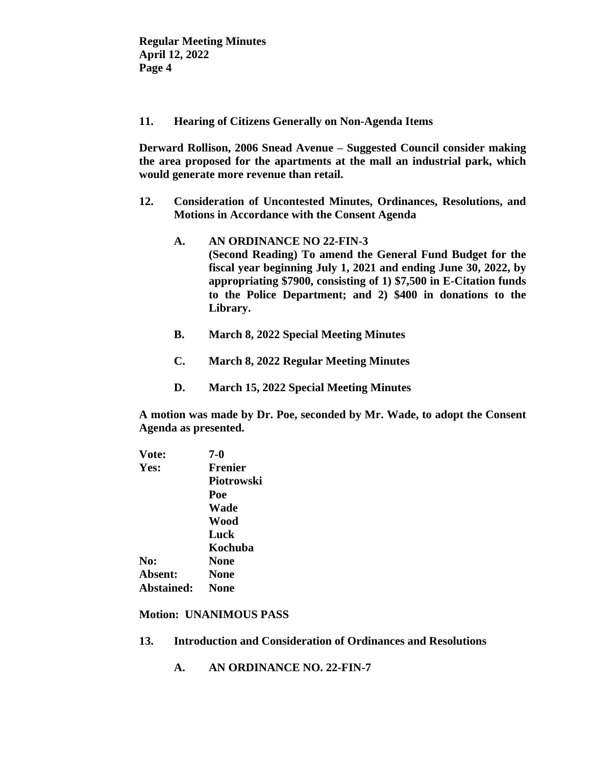**11. Hearing of Citizens Generally on Non-Agenda Items**

**Derward Rollison, 2006 Snead Avenue – Suggested Council consider making the area proposed for the apartments at the mall an industrial park, which would generate more revenue than retail.**

- **12. Consideration of Uncontested Minutes, Ordinances, Resolutions, and Motions in Accordance with the Consent Agenda**
	- **A. AN ORDINANCE NO 22-FIN-3 (Second Reading) To amend the General Fund Budget for the fiscal year beginning July 1, 2021 and ending June 30, 2022, by appropriating \$7900, consisting of 1) \$7,500 in E-Citation funds to the Police Department; and 2) \$400 in donations to the Library.**
	- **B. March 8, 2022 Special Meeting Minutes**
	- **C. March 8, 2022 Regular Meeting Minutes**
	- **D. March 15, 2022 Special Meeting Minutes**

**A motion was made by Dr. Poe, seconded by Mr. Wade, to adopt the Consent Agenda as presented.**

| Vote:      | 7-0            |
|------------|----------------|
| Yes:       | <b>Frenier</b> |
|            | Piotrowski     |
|            | Poe            |
|            | Wade           |
|            | Wood           |
|            | Luck           |
|            | Kochuba        |
| No:        | <b>None</b>    |
| Absent:    | None           |
| Abstained: | <b>None</b>    |
|            |                |

**Motion: UNANIMOUS PASS**

- **13. Introduction and Consideration of Ordinances and Resolutions**
	- **A. AN ORDINANCE NO. 22-FIN-7**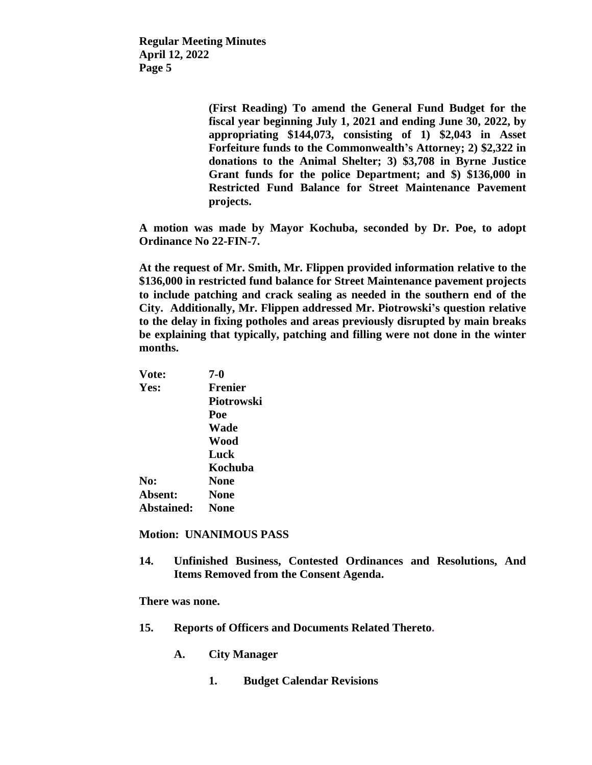> **(First Reading) To amend the General Fund Budget for the fiscal year beginning July 1, 2021 and ending June 30, 2022, by appropriating \$144,073, consisting of 1) \$2,043 in Asset Forfeiture funds to the Commonwealth's Attorney; 2) \$2,322 in donations to the Animal Shelter; 3) \$3,708 in Byrne Justice Grant funds for the police Department; and \$) \$136,000 in Restricted Fund Balance for Street Maintenance Pavement projects.**

**A motion was made by Mayor Kochuba, seconded by Dr. Poe, to adopt Ordinance No 22-FIN-7.**

**At the request of Mr. Smith, Mr. Flippen provided information relative to the \$136,000 in restricted fund balance for Street Maintenance pavement projects to include patching and crack sealing as needed in the southern end of the City. Additionally, Mr. Flippen addressed Mr. Piotrowski's question relative to the delay in fixing potholes and areas previously disrupted by main breaks be explaining that typically, patching and filling were not done in the winter months.**

| 7-0            |
|----------------|
| <b>Frenier</b> |
| Piotrowski     |
| Poe            |
| Wade           |
| Wood           |
| Luck           |
| Kochuba        |
| <b>None</b>    |
| <b>None</b>    |
| <b>None</b>    |
|                |

**Motion: UNANIMOUS PASS**

**14. Unfinished Business, Contested Ordinances and Resolutions, And Items Removed from the Consent Agenda.**

**There was none.**

- **15. Reports of Officers and Documents Related Thereto.**
	- **A. City Manager**
		- **1. Budget Calendar Revisions**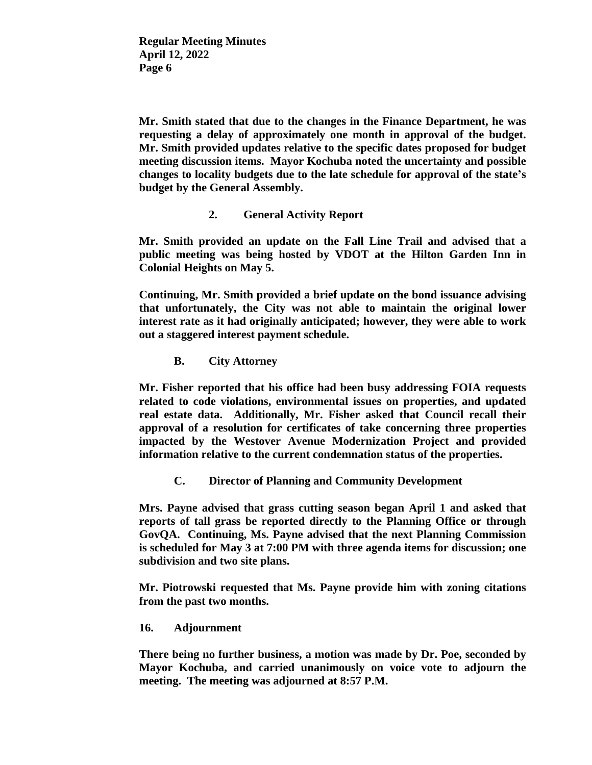**Mr. Smith stated that due to the changes in the Finance Department, he was requesting a delay of approximately one month in approval of the budget. Mr. Smith provided updates relative to the specific dates proposed for budget meeting discussion items. Mayor Kochuba noted the uncertainty and possible changes to locality budgets due to the late schedule for approval of the state's budget by the General Assembly.**

**2. General Activity Report**

**Mr. Smith provided an update on the Fall Line Trail and advised that a public meeting was being hosted by VDOT at the Hilton Garden Inn in Colonial Heights on May 5.**

**Continuing, Mr. Smith provided a brief update on the bond issuance advising that unfortunately, the City was not able to maintain the original lower interest rate as it had originally anticipated; however, they were able to work out a staggered interest payment schedule.**

**B. City Attorney**

**Mr. Fisher reported that his office had been busy addressing FOIA requests related to code violations, environmental issues on properties, and updated real estate data. Additionally, Mr. Fisher asked that Council recall their approval of a resolution for certificates of take concerning three properties impacted by the Westover Avenue Modernization Project and provided information relative to the current condemnation status of the properties.**

**C. Director of Planning and Community Development**

**Mrs. Payne advised that grass cutting season began April 1 and asked that reports of tall grass be reported directly to the Planning Office or through GovQA. Continuing, Ms. Payne advised that the next Planning Commission is scheduled for May 3 at 7:00 PM with three agenda items for discussion; one subdivision and two site plans.**

**Mr. Piotrowski requested that Ms. Payne provide him with zoning citations from the past two months.**

**16. Adjournment**

**There being no further business, a motion was made by Dr. Poe, seconded by Mayor Kochuba, and carried unanimously on voice vote to adjourn the meeting. The meeting was adjourned at 8:57 P.M.**